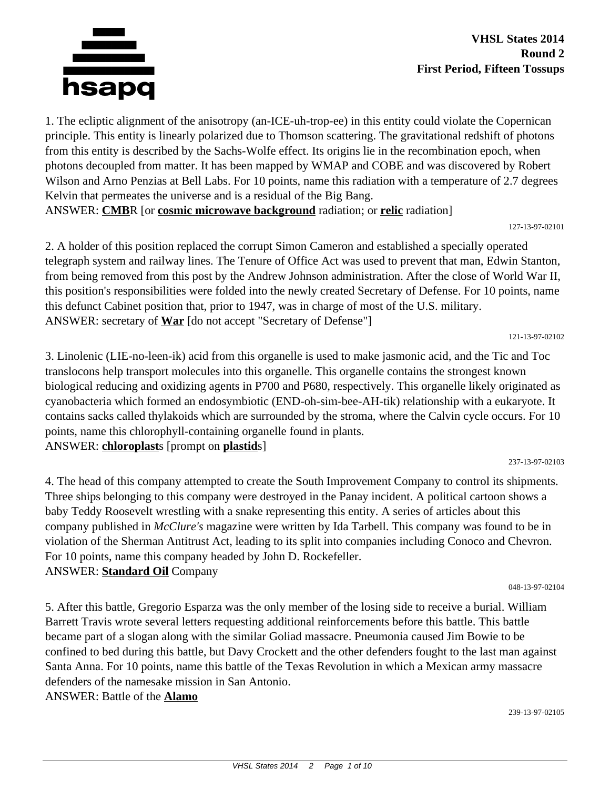

1. The ecliptic alignment of the anisotropy (an-ICE-uh-trop-ee) in this entity could violate the Copernican principle. This entity is linearly polarized due to Thomson scattering. The gravitational redshift of photons from this entity is described by the Sachs-Wolfe effect. Its origins lie in the recombination epoch, when photons decoupled from matter. It has been mapped by WMAP and COBE and was discovered by Robert Wilson and Arno Penzias at Bell Labs. For 10 points, name this radiation with a temperature of 2.7 degrees Kelvin that permeates the universe and is a residual of the Big Bang. ANSWER: **CMB**R [or **cosmic microwave background** radiation; or **relic** radiation]

127-13-97-02101

2. A holder of this position replaced the corrupt Simon Cameron and established a specially operated telegraph system and railway lines. The Tenure of Office Act was used to prevent that man, Edwin Stanton, from being removed from this post by the Andrew Johnson administration. After the close of World War II, this position's responsibilities were folded into the newly created Secretary of Defense. For 10 points, name this defunct Cabinet position that, prior to 1947, was in charge of most of the U.S. military. ANSWER: secretary of **War** [do not accept "Secretary of Defense"]

121-13-97-02102

3. Linolenic (LIE-no-leen-ik) acid from this organelle is used to make jasmonic acid, and the Tic and Toc translocons help transport molecules into this organelle. This organelle contains the strongest known biological reducing and oxidizing agents in P700 and P680, respectively. This organelle likely originated as cyanobacteria which formed an endosymbiotic (END-oh-sim-bee-AH-tik) relationship with a eukaryote. It contains sacks called thylakoids which are surrounded by the stroma, where the Calvin cycle occurs. For 10 points, name this chlorophyll-containing organelle found in plants. ANSWER: **chloroplast**s [prompt on **plastid**s]

237-13-97-02103

4. The head of this company attempted to create the South Improvement Company to control its shipments. Three ships belonging to this company were destroyed in the Panay incident. A political cartoon shows a baby Teddy Roosevelt wrestling with a snake representing this entity. A series of articles about this company published in *McClure's* magazine were written by Ida Tarbell. This company was found to be in violation of the Sherman Antitrust Act, leading to its split into companies including Conoco and Chevron. For 10 points, name this company headed by John D. Rockefeller. ANSWER: **Standard Oil** Company

048-13-97-02104

5. After this battle, Gregorio Esparza was the only member of the losing side to receive a burial. William Barrett Travis wrote several letters requesting additional reinforcements before this battle. This battle became part of a slogan along with the similar Goliad massacre. Pneumonia caused Jim Bowie to be confined to bed during this battle, but Davy Crockett and the other defenders fought to the last man against Santa Anna. For 10 points, name this battle of the Texas Revolution in which a Mexican army massacre defenders of the namesake mission in San Antonio. ANSWER: Battle of the **Alamo**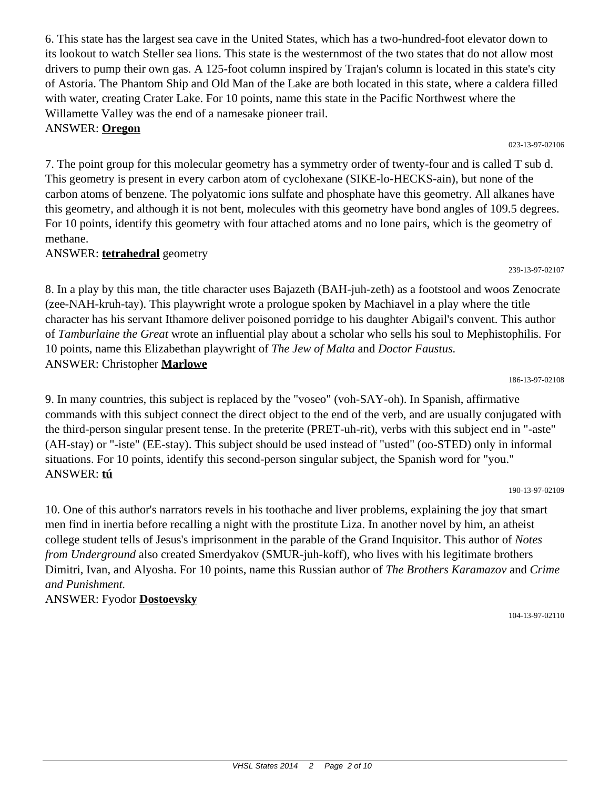6. This state has the largest sea cave in the United States, which has a two-hundred-foot elevator down to its lookout to watch Steller sea lions. This state is the westernmost of the two states that do not allow most drivers to pump their own gas. A 125-foot column inspired by Trajan's column is located in this state's city of Astoria. The Phantom Ship and Old Man of the Lake are both located in this state, where a caldera filled with water, creating Crater Lake. For 10 points, name this state in the Pacific Northwest where the Willamette Valley was the end of a namesake pioneer trail.

## ANSWER: **Oregon**

7. The point group for this molecular geometry has a symmetry order of twenty-four and is called T sub d. This geometry is present in every carbon atom of cyclohexane (SIKE-lo-HECKS-ain), but none of the carbon atoms of benzene. The polyatomic ions sulfate and phosphate have this geometry. All alkanes have this geometry, and although it is not bent, molecules with this geometry have bond angles of 109.5 degrees. For 10 points, identify this geometry with four attached atoms and no lone pairs, which is the geometry of methane.

## ANSWER: **tetrahedral** geometry

8. In a play by this man, the title character uses Bajazeth (BAH-juh-zeth) as a footstool and woos Zenocrate (zee-NAH-kruh-tay). This playwright wrote a prologue spoken by Machiavel in a play where the title character has his servant Ithamore deliver poisoned porridge to his daughter Abigail's convent. This author of *Tamburlaine the Great* wrote an influential play about a scholar who sells his soul to Mephistophilis. For 10 points, name this Elizabethan playwright of *The Jew of Malta* and *Doctor Faustus.* ANSWER: Christopher **Marlowe**

9. In many countries, this subject is replaced by the "voseo" (voh-SAY-oh). In Spanish, affirmative commands with this subject connect the direct object to the end of the verb, and are usually conjugated with the third-person singular present tense. In the preterite (PRET-uh-rit), verbs with this subject end in "-aste" (AH-stay) or "-iste" (EE-stay). This subject should be used instead of "usted" (oo-STED) only in informal situations. For 10 points, identify this second-person singular subject, the Spanish word for "you." ANSWER: **tú**

10. One of this author's narrators revels in his toothache and liver problems, explaining the joy that smart men find in inertia before recalling a night with the prostitute Liza. In another novel by him, an atheist college student tells of Jesus's imprisonment in the parable of the Grand Inquisitor. This author of *Notes from Underground* also created Smerdyakov (SMUR-juh-koff), who lives with his legitimate brothers Dimitri, Ivan, and Alyosha. For 10 points, name this Russian author of *The Brothers Karamazov* and *Crime and Punishment.*

# ANSWER: Fyodor **Dostoevsky**

186-13-97-02108

190-13-97-02109

023-13-97-02106

239-13-97-02107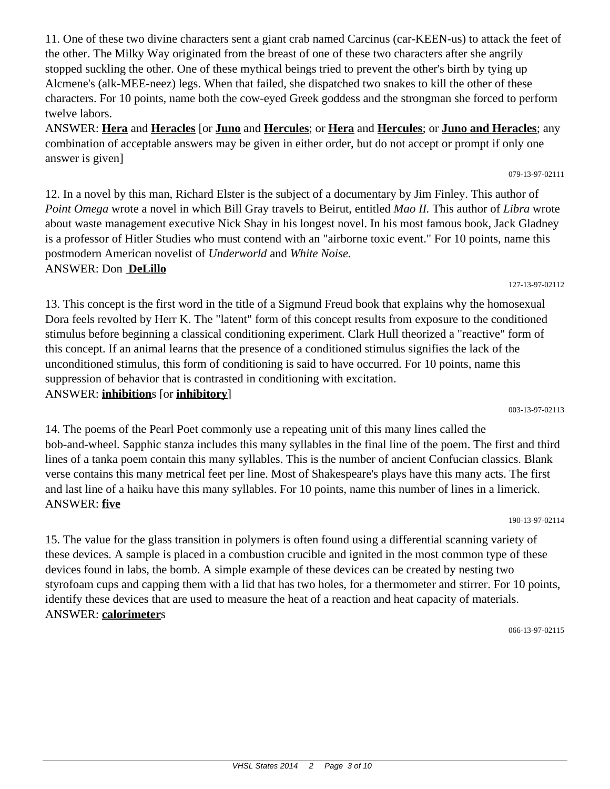11. One of these two divine characters sent a giant crab named Carcinus (car-KEEN-us) to attack the feet of the other. The Milky Way originated from the breast of one of these two characters after she angrily stopped suckling the other. One of these mythical beings tried to prevent the other's birth by tying up Alcmene's (alk-MEE-neez) legs. When that failed, she dispatched two snakes to kill the other of these characters. For 10 points, name both the cow-eyed Greek goddess and the strongman she forced to perform twelve labors.

ANSWER: **Hera** and **Heracles** [or **Juno** and **Hercules**; or **Hera** and **Hercules**; or **Juno and Heracles**; any combination of acceptable answers may be given in either order, but do not accept or prompt if only one answer is given]

12. In a novel by this man, Richard Elster is the subject of a documentary by Jim Finley. This author of *Point Omega* wrote a novel in which Bill Gray travels to Beirut, entitled *Mao II.* This author of *Libra* wrote about waste management executive Nick Shay in his longest novel. In his most famous book, Jack Gladney is a professor of Hitler Studies who must contend with an "airborne toxic event." For 10 points, name this postmodern American novelist of *Underworld* and *White Noise.* ANSWER: Don **DeLillo**

13. This concept is the first word in the title of a Sigmund Freud book that explains why the homosexual Dora feels revolted by Herr K. The "latent" form of this concept results from exposure to the conditioned stimulus before beginning a classical conditioning experiment. Clark Hull theorized a "reactive" form of this concept. If an animal learns that the presence of a conditioned stimulus signifies the lack of the unconditioned stimulus, this form of conditioning is said to have occurred. For 10 points, name this suppression of behavior that is contrasted in conditioning with excitation. ANSWER: **inhibition**s [or **inhibitory**]

14. The poems of the Pearl Poet commonly use a repeating unit of this many lines called the bob-and-wheel. Sapphic stanza includes this many syllables in the final line of the poem. The first and third lines of a tanka poem contain this many syllables. This is the number of ancient Confucian classics. Blank verse contains this many metrical feet per line. Most of Shakespeare's plays have this many acts. The first and last line of a haiku have this many syllables. For 10 points, name this number of lines in a limerick. ANSWER: **five**

15. The value for the glass transition in polymers is often found using a differential scanning variety of these devices. A sample is placed in a combustion crucible and ignited in the most common type of these devices found in labs, the bomb. A simple example of these devices can be created by nesting two styrofoam cups and capping them with a lid that has two holes, for a thermometer and stirrer. For 10 points, identify these devices that are used to measure the heat of a reaction and heat capacity of materials. ANSWER: **calorimeter**s

066-13-97-02115

190-13-97-02114

### 127-13-97-02112

#### 003-13-97-02113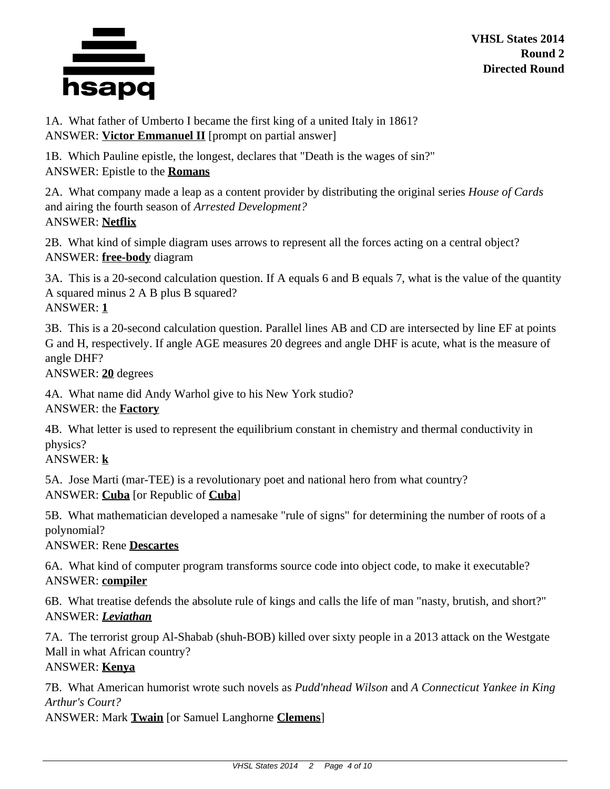

1A. What father of Umberto I became the first king of a united Italy in 1861? ANSWER: **Victor Emmanuel II** [prompt on partial answer]

1B. Which Pauline epistle, the longest, declares that "Death is the wages of sin?" ANSWER: Epistle to the **Romans**

2A. What company made a leap as a content provider by distributing the original series *House of Cards* and airing the fourth season of *Arrested Development?* ANSWER: **Netflix**

2B. What kind of simple diagram uses arrows to represent all the forces acting on a central object? ANSWER: **free-body** diagram

3A. This is a 20-second calculation question. If A equals 6 and B equals 7, what is the value of the quantity A squared minus 2 A B plus B squared? ANSWER: **1**

3B. This is a 20-second calculation question. Parallel lines AB and CD are intersected by line EF at points G and H, respectively. If angle AGE measures 20 degrees and angle DHF is acute, what is the measure of angle DHF?

ANSWER: **20** degrees

4A. What name did Andy Warhol give to his New York studio? ANSWER: the **Factory**

4B. What letter is used to represent the equilibrium constant in chemistry and thermal conductivity in physics?

ANSWER: **k**

5A. Jose Marti (mar-TEE) is a revolutionary poet and national hero from what country? ANSWER: **Cuba** [or Republic of **Cuba**]

5B. What mathematician developed a namesake "rule of signs" for determining the number of roots of a polynomial?

ANSWER: Rene **Descartes**

6A. What kind of computer program transforms source code into object code, to make it executable? ANSWER: **compiler**

6B. What treatise defends the absolute rule of kings and calls the life of man "nasty, brutish, and short?" ANSWER: *Leviathan*

7A. The terrorist group Al-Shabab (shuh-BOB) killed over sixty people in a 2013 attack on the Westgate Mall in what African country?

# ANSWER: **Kenya**

7B. What American humorist wrote such novels as *Pudd'nhead Wilson* and *A Connecticut Yankee in King Arthur's Court?*

ANSWER: Mark **Twain** [or Samuel Langhorne **Clemens**]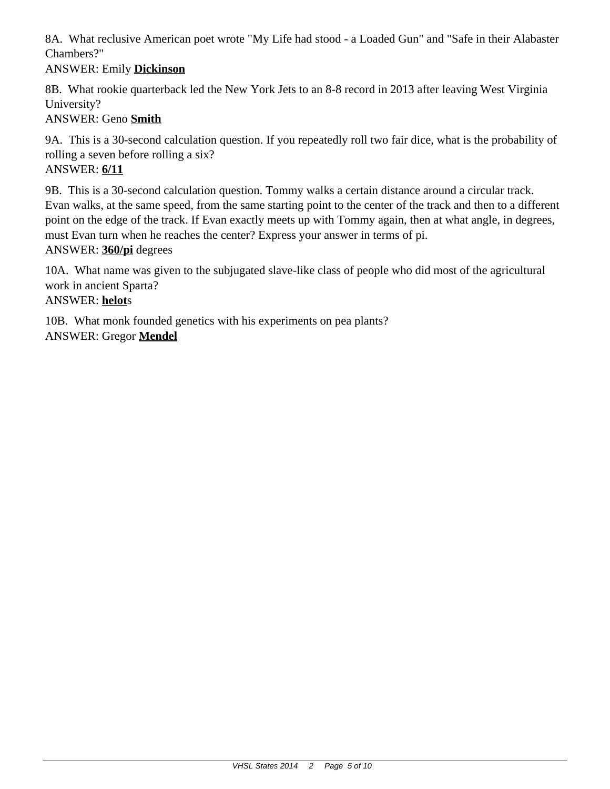8A. What reclusive American poet wrote "My Life had stood - a Loaded Gun" and "Safe in their Alabaster Chambers?"

# ANSWER: Emily **Dickinson**

8B. What rookie quarterback led the New York Jets to an 8-8 record in 2013 after leaving West Virginia University?

# ANSWER: Geno **Smith**

9A. This is a 30-second calculation question. If you repeatedly roll two fair dice, what is the probability of rolling a seven before rolling a six?

## ANSWER: **6/11**

9B. This is a 30-second calculation question. Tommy walks a certain distance around a circular track. Evan walks, at the same speed, from the same starting point to the center of the track and then to a different point on the edge of the track. If Evan exactly meets up with Tommy again, then at what angle, in degrees, must Evan turn when he reaches the center? Express your answer in terms of pi. ANSWER: **360/pi** degrees

10A. What name was given to the subjugated slave-like class of people who did most of the agricultural work in ancient Sparta?

### ANSWER: **helot**s

10B. What monk founded genetics with his experiments on pea plants? ANSWER: Gregor **Mendel**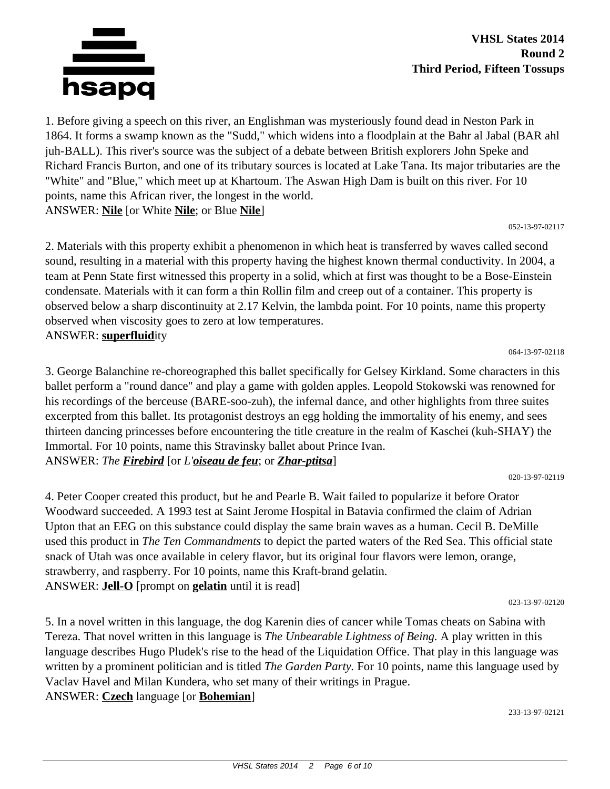

1. Before giving a speech on this river, an Englishman was mysteriously found dead in Neston Park in 1864. It forms a swamp known as the "Sudd," which widens into a floodplain at the Bahr al Jabal (BAR ahl juh-BALL). This river's source was the subject of a debate between British explorers John Speke and Richard Francis Burton, and one of its tributary sources is located at Lake Tana. Its major tributaries are the "White" and "Blue," which meet up at Khartoum. The Aswan High Dam is built on this river. For 10 points, name this African river, the longest in the world. ANSWER: **Nile** [or White **Nile**; or Blue **Nile**]

#### 052-13-97-02117

2. Materials with this property exhibit a phenomenon in which heat is transferred by waves called second sound, resulting in a material with this property having the highest known thermal conductivity. In 2004, a team at Penn State first witnessed this property in a solid, which at first was thought to be a Bose-Einstein condensate. Materials with it can form a thin Rollin film and creep out of a container. This property is observed below a sharp discontinuity at 2.17 Kelvin, the lambda point. For 10 points, name this property observed when viscosity goes to zero at low temperatures. ANSWER: **superfluid**ity

064-13-97-02118

3. George Balanchine re-choreographed this ballet specifically for Gelsey Kirkland. Some characters in this ballet perform a "round dance" and play a game with golden apples. Leopold Stokowski was renowned for his recordings of the berceuse (BARE-soo-zuh), the infernal dance, and other highlights from three suites excerpted from this ballet. Its protagonist destroys an egg holding the immortality of his enemy, and sees thirteen dancing princesses before encountering the title creature in the realm of Kaschei (kuh-SHAY) the Immortal. For 10 points, name this Stravinsky ballet about Prince Ivan. ANSWER: *The Firebird* [or *L'oiseau de feu*; or *Zhar-ptitsa*]

020-13-97-02119

4. Peter Cooper created this product, but he and Pearle B. Wait failed to popularize it before Orator Woodward succeeded. A 1993 test at Saint Jerome Hospital in Batavia confirmed the claim of Adrian Upton that an EEG on this substance could display the same brain waves as a human. Cecil B. DeMille used this product in *The Ten Commandments* to depict the parted waters of the Red Sea. This official state snack of Utah was once available in celery flavor, but its original four flavors were lemon, orange, strawberry, and raspberry. For 10 points, name this Kraft-brand gelatin. ANSWER: **Jell-O** [prompt on **gelatin** until it is read]

023-13-97-02120

5. In a novel written in this language, the dog Karenin dies of cancer while Tomas cheats on Sabina with Tereza. That novel written in this language is *The Unbearable Lightness of Being.* A play written in this language describes Hugo Pludek's rise to the head of the Liquidation Office. That play in this language was written by a prominent politician and is titled *The Garden Party.* For 10 points, name this language used by Vaclav Havel and Milan Kundera, who set many of their writings in Prague. ANSWER: **Czech** language [or **Bohemian**]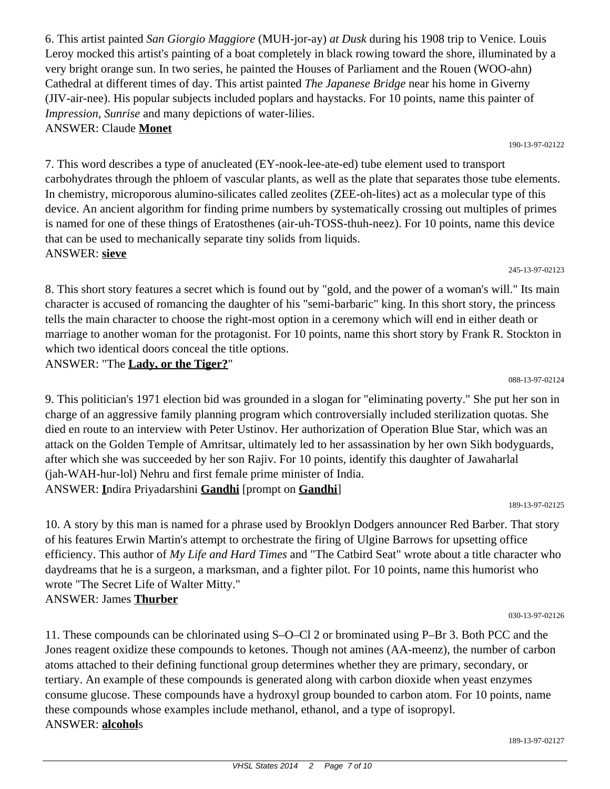6. This artist painted *San Giorgio Maggiore* (MUH-jor-ay) *at Dusk* during his 1908 trip to Venice. Louis Leroy mocked this artist's painting of a boat completely in black rowing toward the shore, illuminated by a very bright orange sun. In two series, he painted the Houses of Parliament and the Rouen (WOO-ahn) Cathedral at different times of day. This artist painted *The Japanese Bridge* near his home in Giverny (JIV-air-nee). His popular subjects included poplars and haystacks. For 10 points, name this painter of *Impression, Sunrise* and many depictions of water-lilies. ANSWER: Claude **Monet**

7. This word describes a type of anucleated (EY-nook-lee-ate-ed) tube element used to transport carbohydrates through the phloem of vascular plants, as well as the plate that separates those tube elements. In chemistry, microporous alumino-silicates called zeolites (ZEE-oh-lites) act as a molecular type of this device. An ancient algorithm for finding prime numbers by systematically crossing out multiples of primes is named for one of these things of Eratosthenes (air-uh-TOSS-thuh-neez). For 10 points, name this device that can be used to mechanically separate tiny solids from liquids. ANSWER: **sieve**

8. This short story features a secret which is found out by "gold, and the power of a woman's will." Its main character is accused of romancing the daughter of his "semi-barbaric" king. In this short story, the princess tells the main character to choose the right-most option in a ceremony which will end in either death or marriage to another woman for the protagonist. For 10 points, name this short story by Frank R. Stockton in which two identical doors conceal the title options.

ANSWER: "The **Lady, or the Tiger?**"

9. This politician's 1971 election bid was grounded in a slogan for "eliminating poverty." She put her son in charge of an aggressive family planning program which controversially included sterilization quotas. She died en route to an interview with Peter Ustinov. Her authorization of Operation Blue Star, which was an attack on the Golden Temple of Amritsar, ultimately led to her assassination by her own Sikh bodyguards, after which she was succeeded by her son Rajiv. For 10 points, identify this daughter of Jawaharlal (jah-WAH-hur-lol) Nehru and first female prime minister of India. ANSWER: **I**ndira Priyadarshini **Gandhi** [prompt on **Gandhi**]

189-13-97-02125

10. A story by this man is named for a phrase used by Brooklyn Dodgers announcer Red Barber. That story of his features Erwin Martin's attempt to orchestrate the firing of Ulgine Barrows for upsetting office efficiency. This author of *My Life and Hard Times* and "The Catbird Seat" wrote about a title character who daydreams that he is a surgeon, a marksman, and a fighter pilot. For 10 points, name this humorist who wrote "The Secret Life of Walter Mitty." ANSWER: James **Thurber**

030-13-97-02126

11. These compounds can be chlorinated using S–O–Cl 2 or brominated using P–Br 3. Both PCC and the Jones reagent oxidize these compounds to ketones. Though not amines (AA-meenz), the number of carbon atoms attached to their defining functional group determines whether they are primary, secondary, or tertiary. An example of these compounds is generated along with carbon dioxide when yeast enzymes consume glucose. These compounds have a hydroxyl group bounded to carbon atom. For 10 points, name these compounds whose examples include methanol, ethanol, and a type of isopropyl. ANSWER: **alcohol**s

#### 190-13-97-02122

088-13-97-02124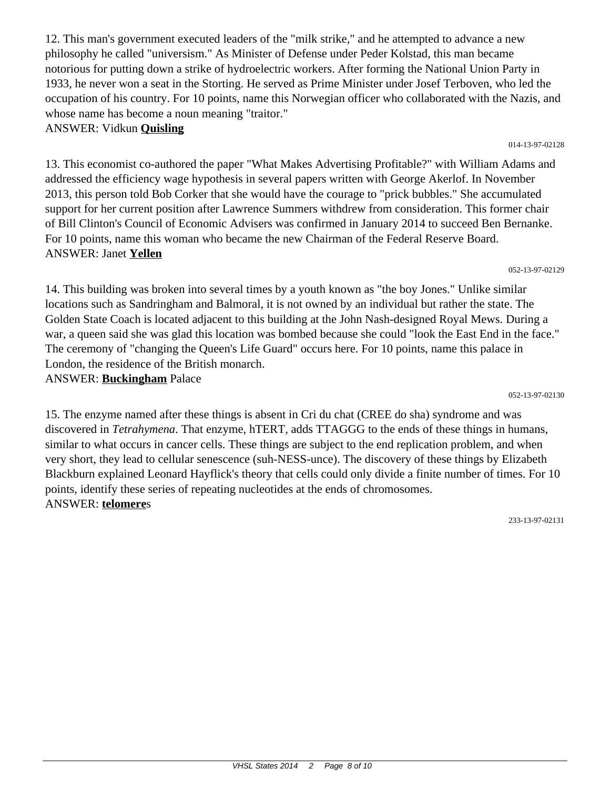12. This man's government executed leaders of the "milk strike," and he attempted to advance a new philosophy he called "universism." As Minister of Defense under Peder Kolstad, this man became notorious for putting down a strike of hydroelectric workers. After forming the National Union Party in 1933, he never won a seat in the Storting. He served as Prime Minister under Josef Terboven, who led the occupation of his country. For 10 points, name this Norwegian officer who collaborated with the Nazis, and whose name has become a noun meaning "traitor."

# ANSWER: Vidkun **Quisling**

13. This economist co-authored the paper "What Makes Advertising Profitable?" with William Adams and addressed the efficiency wage hypothesis in several papers written with George Akerlof. In November 2013, this person told Bob Corker that she would have the courage to "prick bubbles." She accumulated support for her current position after Lawrence Summers withdrew from consideration. This former chair of Bill Clinton's Council of Economic Advisers was confirmed in January 2014 to succeed Ben Bernanke. For 10 points, name this woman who became the new Chairman of the Federal Reserve Board. ANSWER: Janet **Yellen**

052-13-97-02129

14. This building was broken into several times by a youth known as "the boy Jones." Unlike similar locations such as Sandringham and Balmoral, it is not owned by an individual but rather the state. The Golden State Coach is located adjacent to this building at the John Nash-designed Royal Mews. During a war, a queen said she was glad this location was bombed because she could "look the East End in the face." The ceremony of "changing the Queen's Life Guard" occurs here. For 10 points, name this palace in London, the residence of the British monarch. ANSWER: **Buckingham** Palace

052-13-97-02130

15. The enzyme named after these things is absent in Cri du chat (CREE do sha) syndrome and was discovered in *Tetrahymena*. That enzyme, hTERT, adds TTAGGG to the ends of these things in humans, similar to what occurs in cancer cells. These things are subject to the end replication problem, and when very short, they lead to cellular senescence (suh-NESS-unce). The discovery of these things by Elizabeth Blackburn explained Leonard Hayflick's theory that cells could only divide a finite number of times. For 10 points, identify these series of repeating nucleotides at the ends of chromosomes. ANSWER: **telomere**s

233-13-97-02131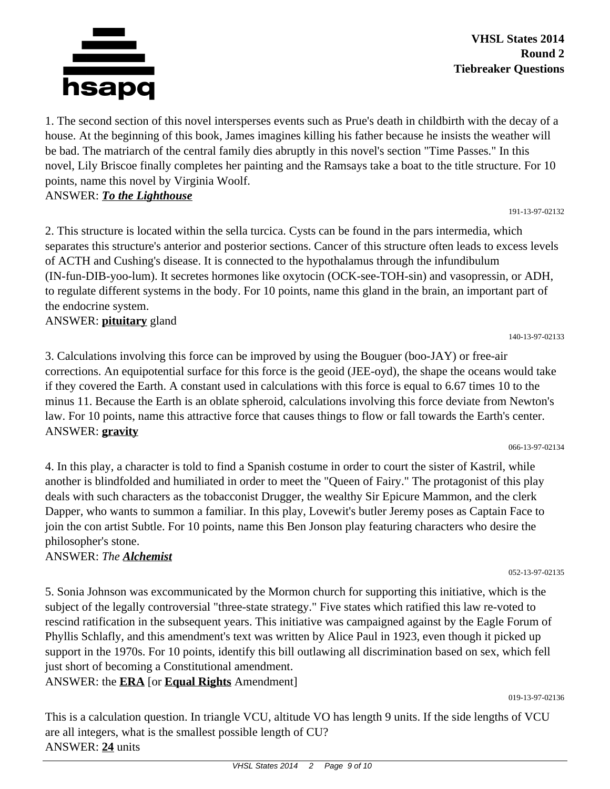

1. The second section of this novel intersperses events such as Prue's death in childbirth with the decay of a house. At the beginning of this book, James imagines killing his father because he insists the weather will be bad. The matriarch of the central family dies abruptly in this novel's section "Time Passes." In this novel, Lily Briscoe finally completes her painting and the Ramsays take a boat to the title structure. For 10 points, name this novel by Virginia Woolf.

## ANSWER: *To the Lighthouse*

2. This structure is located within the sella turcica. Cysts can be found in the pars intermedia, which separates this structure's anterior and posterior sections. Cancer of this structure often leads to excess levels of ACTH and Cushing's disease. It is connected to the hypothalamus through the infundibulum (IN-fun-DIB-yoo-lum). It secretes hormones like oxytocin (OCK-see-TOH-sin) and vasopressin, or ADH, to regulate different systems in the body. For 10 points, name this gland in the brain, an important part of the endocrine system.

# ANSWER: **pituitary** gland

3. Calculations involving this force can be improved by using the Bouguer (boo-JAY) or free-air corrections. An equipotential surface for this force is the geoid (JEE-oyd), the shape the oceans would take if they covered the Earth. A constant used in calculations with this force is equal to 6.67 times 10 to the minus 11. Because the Earth is an oblate spheroid, calculations involving this force deviate from Newton's law. For 10 points, name this attractive force that causes things to flow or fall towards the Earth's center. ANSWER: **gravity**

066-13-97-02134

052-13-97-02135

140-13-97-02133

4. In this play, a character is told to find a Spanish costume in order to court the sister of Kastril, while another is blindfolded and humiliated in order to meet the "Queen of Fairy." The protagonist of this play deals with such characters as the tobacconist Drugger, the wealthy Sir Epicure Mammon, and the clerk Dapper, who wants to summon a familiar. In this play, Lovewit's butler Jeremy poses as Captain Face to join the con artist Subtle. For 10 points, name this Ben Jonson play featuring characters who desire the philosopher's stone.

# ANSWER: *The Alchemist*

5. Sonia Johnson was excommunicated by the Mormon church for supporting this initiative, which is the subject of the legally controversial "three-state strategy." Five states which ratified this law re-voted to rescind ratification in the subsequent years. This initiative was campaigned against by the Eagle Forum of Phyllis Schlafly, and this amendment's text was written by Alice Paul in 1923, even though it picked up support in the 1970s. For 10 points, identify this bill outlawing all discrimination based on sex, which fell just short of becoming a Constitutional amendment.

ANSWER: the **ERA** [or **Equal Rights** Amendment]

019-13-97-02136

This is a calculation question. In triangle VCU, altitude VO has length 9 units. If the side lengths of VCU are all integers, what is the smallest possible length of CU? ANSWER: **24** units